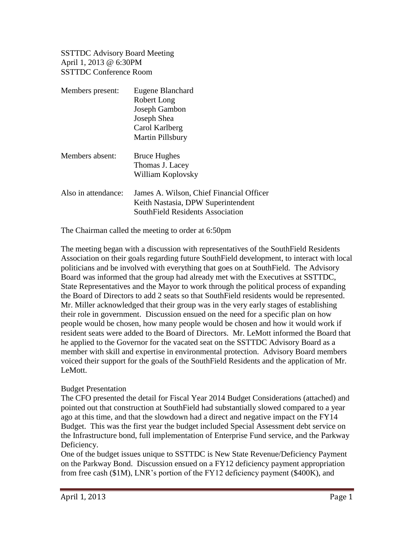SSTTDC Advisory Board Meeting April 1, 2013 @ 6:30PM SSTTDC Conference Room

| Members present:    | Eugene Blanchard                                                               |
|---------------------|--------------------------------------------------------------------------------|
|                     | Robert Long                                                                    |
|                     | Joseph Gambon                                                                  |
|                     | Joseph Shea                                                                    |
|                     | Carol Karlberg                                                                 |
|                     | <b>Martin Pillsbury</b>                                                        |
| Members absent:     | <b>Bruce Hughes</b>                                                            |
|                     | Thomas J. Lacey                                                                |
|                     | William Koplovsky                                                              |
| Also in attendance: | James A. Wilson, Chief Financial Officer<br>Keith Nastasia, DPW Superintendent |
|                     | SouthField Residents Association                                               |

The Chairman called the meeting to order at 6:50pm

The meeting began with a discussion with representatives of the SouthField Residents Association on their goals regarding future SouthField development, to interact with local politicians and be involved with everything that goes on at SouthField. The Advisory Board was informed that the group had already met with the Executives at SSTTDC, State Representatives and the Mayor to work through the political process of expanding the Board of Directors to add 2 seats so that SouthField residents would be represented. Mr. Miller acknowledged that their group was in the very early stages of establishing their role in government. Discussion ensued on the need for a specific plan on how people would be chosen, how many people would be chosen and how it would work if resident seats were added to the Board of Directors. Mr. LeMott informed the Board that he applied to the Governor for the vacated seat on the SSTTDC Advisory Board as a member with skill and expertise in environmental protection. Advisory Board members voiced their support for the goals of the SouthField Residents and the application of Mr. LeMott.

## Budget Presentation

The CFO presented the detail for Fiscal Year 2014 Budget Considerations (attached) and pointed out that construction at SouthField had substantially slowed compared to a year ago at this time, and that the slowdown had a direct and negative impact on the FY14 Budget. This was the first year the budget included Special Assessment debt service on the Infrastructure bond, full implementation of Enterprise Fund service, and the Parkway Deficiency.

One of the budget issues unique to SSTTDC is New State Revenue/Deficiency Payment on the Parkway Bond. Discussion ensued on a FY12 deficiency payment appropriation from free cash (\$1M), LNR's portion of the FY12 deficiency payment (\$400K), and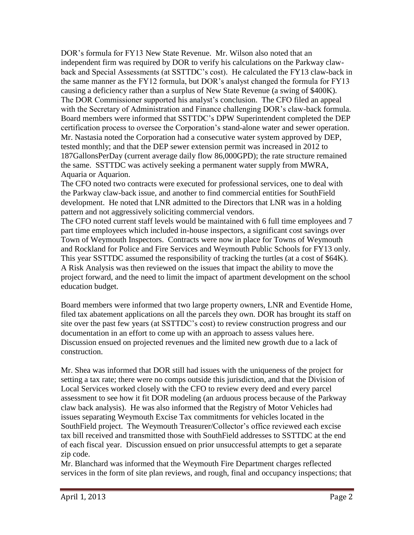DOR's formula for FY13 New State Revenue. Mr. Wilson also noted that an independent firm was required by DOR to verify his calculations on the Parkway clawback and Special Assessments (at SSTTDC's cost). He calculated the FY13 claw-back in the same manner as the FY12 formula, but DOR's analyst changed the formula for FY13 causing a deficiency rather than a surplus of New State Revenue (a swing of \$400K). The DOR Commissioner supported his analyst's conclusion. The CFO filed an appeal with the Secretary of Administration and Finance challenging DOR's claw-back formula. Board members were informed that SSTTDC's DPW Superintendent completed the DEP certification process to oversee the Corporation's stand-alone water and sewer operation. Mr. Nastasia noted the Corporation had a consecutive water system approved by DEP, tested monthly; and that the DEP sewer extension permit was increased in 2012 to 187GallonsPerDay (current average daily flow 86,000GPD); the rate structure remained the same. SSTTDC was actively seeking a permanent water supply from MWRA, Aquaria or Aquarion.

The CFO noted two contracts were executed for professional services, one to deal with the Parkway claw-back issue, and another to find commercial entities for SouthField development. He noted that LNR admitted to the Directors that LNR was in a holding pattern and not aggressively soliciting commercial vendors.

The CFO noted current staff levels would be maintained with 6 full time employees and 7 part time employees which included in-house inspectors, a significant cost savings over Town of Weymouth Inspectors. Contracts were now in place for Towns of Weymouth and Rockland for Police and Fire Services and Weymouth Public Schools for FY13 only. This year SSTTDC assumed the responsibility of tracking the turtles (at a cost of \$64K). A Risk Analysis was then reviewed on the issues that impact the ability to move the project forward, and the need to limit the impact of apartment development on the school education budget.

Board members were informed that two large property owners, LNR and Eventide Home, filed tax abatement applications on all the parcels they own. DOR has brought its staff on site over the past few years (at SSTTDC's cost) to review construction progress and our documentation in an effort to come up with an approach to assess values here. Discussion ensued on projected revenues and the limited new growth due to a lack of construction.

Mr. Shea was informed that DOR still had issues with the uniqueness of the project for setting a tax rate; there were no comps outside this jurisdiction, and that the Division of Local Services worked closely with the CFO to review every deed and every parcel assessment to see how it fit DOR modeling (an arduous process because of the Parkway claw back analysis). He was also informed that the Registry of Motor Vehicles had issues separating Weymouth Excise Tax commitments for vehicles located in the SouthField project. The Weymouth Treasurer/Collector's office reviewed each excise tax bill received and transmitted those with SouthField addresses to SSTTDC at the end of each fiscal year. Discussion ensued on prior unsuccessful attempts to get a separate zip code.

Mr. Blanchard was informed that the Weymouth Fire Department charges reflected services in the form of site plan reviews, and rough, final and occupancy inspections; that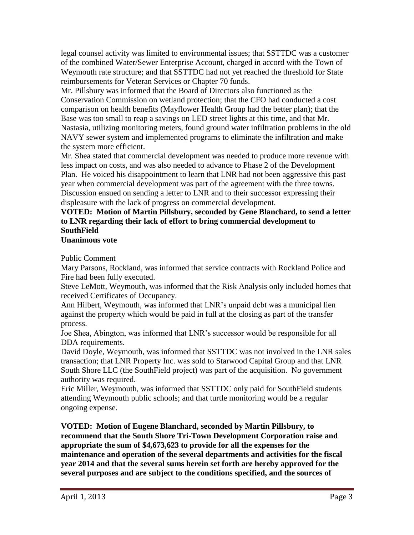legal counsel activity was limited to environmental issues; that SSTTDC was a customer of the combined Water/Sewer Enterprise Account, charged in accord with the Town of Weymouth rate structure; and that SSTTDC had not yet reached the threshold for State reimbursements for Veteran Services or Chapter 70 funds.

Mr. Pillsbury was informed that the Board of Directors also functioned as the Conservation Commission on wetland protection; that the CFO had conducted a cost comparison on health benefits (Mayflower Health Group had the better plan); that the Base was too small to reap a savings on LED street lights at this time, and that Mr. Nastasia, utilizing monitoring meters, found ground water infiltration problems in the old NAVY sewer system and implemented programs to eliminate the infiltration and make the system more efficient.

Mr. Shea stated that commercial development was needed to produce more revenue with less impact on costs, and was also needed to advance to Phase 2 of the Development Plan. He voiced his disappointment to learn that LNR had not been aggressive this past year when commercial development was part of the agreement with the three towns. Discussion ensued on sending a letter to LNR and to their successor expressing their displeasure with the lack of progress on commercial development.

## **VOTED: Motion of Martin Pillsbury, seconded by Gene Blanchard, to send a letter to LNR regarding their lack of effort to bring commercial development to SouthField**

## **Unanimous vote**

Public Comment

Mary Parsons, Rockland, was informed that service contracts with Rockland Police and Fire had been fully executed.

Steve LeMott, Weymouth, was informed that the Risk Analysis only included homes that received Certificates of Occupancy.

Ann Hilbert, Weymouth, was informed that LNR's unpaid debt was a municipal lien against the property which would be paid in full at the closing as part of the transfer process.

Joe Shea, Abington, was informed that LNR's successor would be responsible for all DDA requirements.

David Doyle, Weymouth, was informed that SSTTDC was not involved in the LNR sales transaction; that LNR Property Inc. was sold to Starwood Capital Group and that LNR South Shore LLC (the SouthField project) was part of the acquisition. No government authority was required.

Eric Miller, Weymouth, was informed that SSTTDC only paid for SouthField students attending Weymouth public schools; and that turtle monitoring would be a regular ongoing expense.

**VOTED: Motion of Eugene Blanchard, seconded by Martin Pillsbury, to recommend that the South Shore Tri-Town Development Corporation raise and appropriate the sum of \$4,673,623 to provide for all the expenses for the maintenance and operation of the several departments and activities for the fiscal year 2014 and that the several sums herein set forth are hereby approved for the several purposes and are subject to the conditions specified, and the sources of**